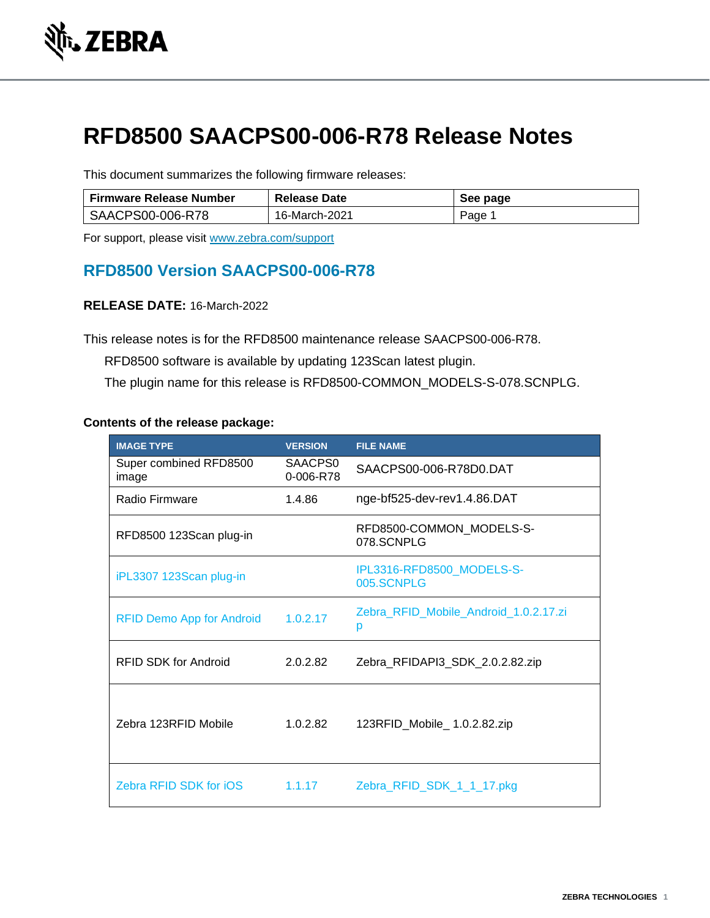

# **RFD8500 SAACPS00-006-R78 Release Notes**

This document summarizes the following firmware releases:

| <b>Firmware Release Number</b> | <b>Release Date</b> | See page |
|--------------------------------|---------------------|----------|
| SAACPS00-006-R78               | 16-March-2021       | Page     |

For support, please visit [www.zebra.com/support](http://www.zebra.com/support)

# **RFD8500 Version SAACPS00-006-R78**

## **RELEASE DATE:** 16-March-2022

This release notes is for the RFD8500 maintenance release SAACPS00-006-R78.

RFD8500 software is available by updating 123Scan latest plugin.

The plugin name for this release is RFD8500-COMMON\_MODELS-S-078.SCNPLG.

#### **Contents of the release package:**

| <b>IMAGE TYPE</b>                | <b>VERSION</b>       | <b>FILE NAME</b>                           |
|----------------------------------|----------------------|--------------------------------------------|
| Super combined RFD8500<br>image  | SAACPS0<br>0-006-R78 | SAACPS00-006-R78D0.DAT                     |
| Radio Firmware                   | 1.4.86               | nge-bf525-dev-rev1.4.86.DAT                |
| RFD8500 123Scan plug-in          |                      | RFD8500-COMMON_MODELS-S-<br>078.SCNPLG     |
| iPL3307 123Scan plug-in          |                      | IPL3316-RFD8500_MODELS-S-<br>005.SCNPLG    |
| <b>RFID Demo App for Android</b> | 1.0.2.17             | Zebra_RFID_Mobile_Android_1.0.2.17.zi<br>р |
| REID SDK for Android             | 2.0.2.82             | Zebra_RFIDAPI3_SDK_2.0.2.82.zip            |
| Zebra 123RFID Mobile             | 1.0.2.82             | 123RFID_Mobile_1.0.2.82.zip                |
| Zebra RFID SDK for iOS           | 1.1.17               | Zebra_RFID_SDK_1_1_17.pkg                  |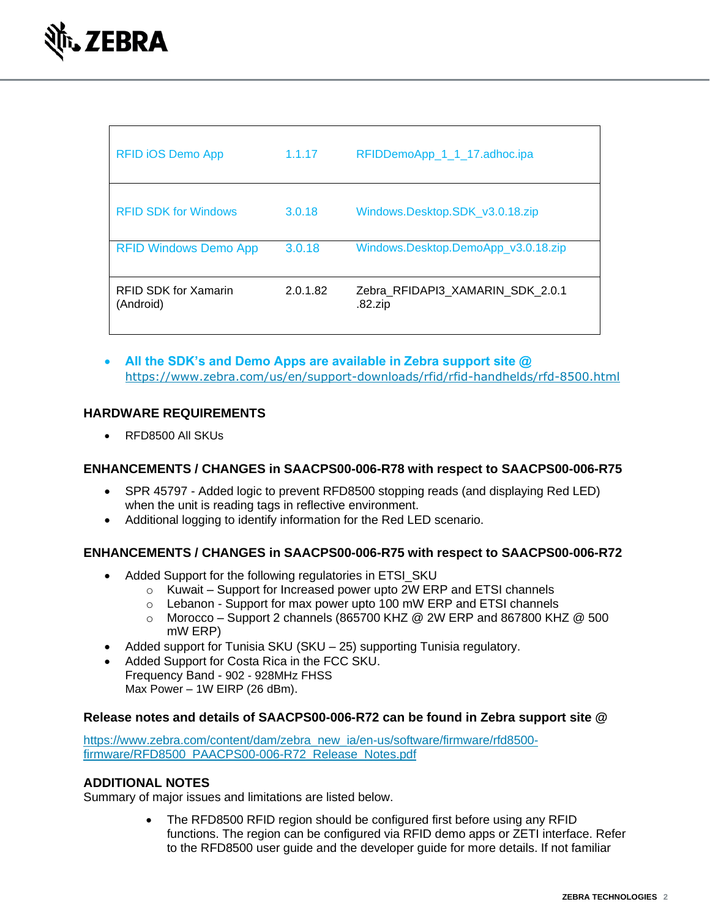| <b>RFID iOS Demo App</b>                 | 1.1.17   | RFIDDemoApp_1_1_17.adhoc.ipa                |
|------------------------------------------|----------|---------------------------------------------|
| <b>RFID SDK for Windows</b>              | 3.0.18   | Windows.Desktop.SDK_v3.0.18.zip             |
| <b>RFID Windows Demo App</b>             | 3.0.18   | Windows.Desktop.DemoApp_v3.0.18.zip         |
| <b>RFID SDK for Xamarin</b><br>(Android) | 2.0.1.82 | Zebra RFIDAPI3 XAMARIN SDK 2.0.1<br>.82.zip |

• **All the SDK's and Demo Apps are available in Zebra support site @**  <https://www.zebra.com/us/en/support-downloads/rfid/rfid-handhelds/rfd-8500.html>

## **HARDWARE REQUIREMENTS**

• RFD8500 All SKUs

#### **ENHANCEMENTS / CHANGES in SAACPS00-006-R78 with respect to SAACPS00-006-R75**

- [SPR 45797](https://spr.zebra.com/EditSPR.aspx?sprID=45797) Added logic to prevent RFD8500 stopping reads (and displaying Red LED) when the unit is reading tags in reflective environment.
- Additional logging to identify information for the Red LED scenario.

#### **ENHANCEMENTS / CHANGES in SAACPS00-006-R75 with respect to SAACPS00-006-R72**

- Added Support for the following regulatories in ETSI SKU
	- o Kuwait Support for Increased power upto 2W ERP and ETSI channels
	- o Lebanon Support for max power upto 100 mW ERP and ETSI channels
	- $\circ$  Morocco Support 2 channels (865700 KHZ @ 2W ERP and 867800 KHZ @ 500 mW ERP)
- Added support for Tunisia SKU (SKU 25) supporting Tunisia regulatory.
- Added Support for Costa Rica in the FCC SKU. Frequency Band - 902 - 928MHz FHSS

Max Power – 1W EIRP (26 dBm).

#### **Release notes and details of SAACPS00-006-R72 can be found in Zebra support site @**

[https://www.zebra.com/content/dam/zebra\\_new\\_ia/en-us/software/firmware/rfd8500](https://www.zebra.com/content/dam/zebra_new_ia/en-us/software/firmware/rfd8500-firmware/RFD8500_PAACPS00-006-R71_Release_Notes.pdf) [firmware/RFD8500\\_PAACPS00-006-R72\\_Release\\_Notes.pdf](https://www.zebra.com/content/dam/zebra_new_ia/en-us/software/firmware/rfd8500-firmware/RFD8500_PAACPS00-006-R71_Release_Notes.pdf)

#### **ADDITIONAL NOTES**

Summary of major issues and limitations are listed below.

• The RFD8500 RFID region should be configured first before using any RFID functions. The region can be configured via RFID demo apps or ZETI interface. Refer to the RFD8500 user guide and the developer guide for more details. If not familiar